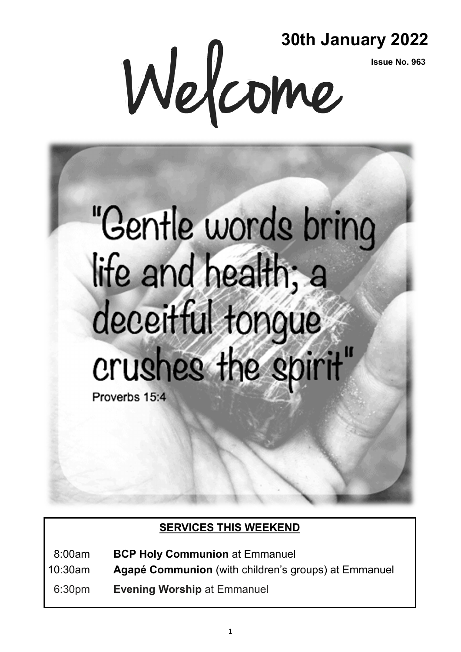**Issue No. 963**

**SOCH JANUAL 3016 JANUAL 15Sue No. 963** 

# "Gentle words bring life and health; a deceitful tonque crushes the spirit" Proverbs 15:4

## **SERVICES THIS WEEKEND**

08:00am **BCP Holy Communion** at Emmanuel

10:30am **Agapé Communion** (with children's groups) at Emmanuel

06:30pm **Evening Worship** at Emmanuel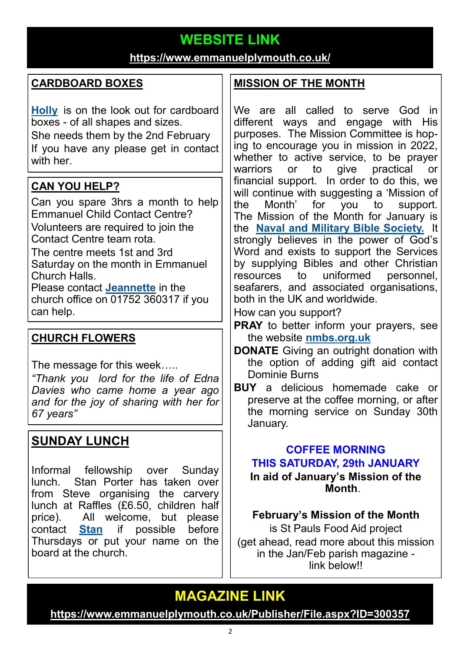# **WEBSITE LINK**

### **<https://www.emmanuelplymouth.co.uk/>**

## **CARDBOARD BOXES**

**[Holly](mailto:holly.martin@emmanuelplymouth.co.uk)** is on the look out for cardboard boxes - of all shapes and sizes. She needs them by the 2nd February If you have any please get in contact with her.

## **CAN YOU HELP?**

Can you spare 3hrs a month to help Emmanuel Child Contact Centre? Volunteers are required to join the Contact Centre team rota.

The centre meets 1st and 3rd Saturday on the month in Emmanuel Church Halls.

Please contact **[Jeannette](mailto:office@emmanuelplymouth.co.uk)** in the church office on 01752 360317 if you can help.

## **CHURCH FLOWERS**

The message for this week…..

*"Thank you lord for the life of Edna Davies who came home a year ago and for the joy of sharing with her for 67 years"* 

## **SUNDAY LUNCH**

Informal fellowship over Sunday lunch. Stan Porter has taken over from Steve organising the carvery lunch at Raffles (£6.50, children half price). All welcome, but please contact **[Stan](mailto:stanlaptop@blueyonder.co.uk)** if possible before Thursdays or put your name on the board at the church.

## **MISSION OF THE MONTH**

We are all called to serve God in different ways and engage with His purposes. The Mission Committee is hoping to encourage you in mission in 2022, whether to active service, to be prayer warriors or to give practical or financial support. In order to do this, we will continue with suggesting a 'Mission of the Month' for you to support. The Mission of the Month for January is the **[Naval and Military Bible Society.](https://nmbs.org.uk/)** It strongly believes in the power of God's Word and exists to support the Services by supplying Bibles and other Christian resources to uniformed personnel, seafarers, and associated organisations, both in the UK and worldwide.

How can you support?

- **PRAY** to better inform your prayers, see the website **[nmbs.org.uk](https://nmbs.org.uk/)**
- **DONATE** Giving an outright donation with the option of adding gift aid contact Dominie Burns
- **BUY** a delicious homemade cake or preserve at the coffee morning, or after the morning service on Sunday 30th January.

#### **COFFEE MORNING THIS SATURDAY, 29th JANUARY In aid of January's Mission of the Month**.

#### **February's Mission of the Month**

is St Pauls Food Aid project (get ahead, read more about this mission in the Jan/Feb parish magazine link below!!

# **MAGAZINE LINK**

**[https://www.emmanuelplymouth.co.uk/Publisher/File.aspx?ID=300357](https://emmanuelplymouth.co.uk/Publisher/File.aspx?ID=300357)**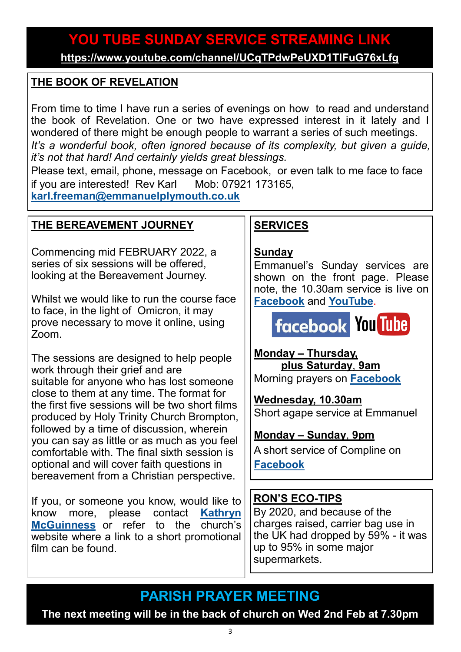# **YOU TUBE SUNDAY SERVICE STREAMING LINK**

**<https://www.youtube.com/channel/UCqTPdwPeUXD1TIFuG76xLfg>**

### **THE BOOK OF REVELATION**

From time to time I have run a series of evenings on how to read and understand the book of Revelation. One or two have expressed interest in it lately and I wondered of there might be enough people to warrant a series of such meetings. *It*'s a wonderful book, often ignored because of its complexity, but given a guide, *it's not that hard! And certainly yields great blessings.* 

Please text, email, phone, message on Facebook, or even talk to me face to face if you are interested! Rev Karl Mob: 07921 173165,

**[karl.freeman@emmanuelplymouth.co.uk](mailto:karl.freeman@emmanuelplymouth.co.uk)**

#### **THE BEREAVEMENT JOURNEY**

Commencing mid FEBRUARY 2022, a series of six sessions will be offered, looking at the Bereavement Journey.

Whilst we would like to run the course face to face, in the light of Omicron, it may prove necessary to move it online, using Zoom.

The sessions are designed to help people work through their grief and are suitable for anyone who has lost someone close to them at any time. The format for the first five sessions will be two short films produced by Holy Trinity Church Brompton, followed by a time of discussion, wherein you can say as little or as much as you feel comfortable with. The final sixth session is optional and will cover faith questions in bereavement from a Christian perspective.

If you, or someone you know, would like to know more, please contact **[Kathryn](mailto:kmcguinness59@gmail.com)  [McGuinness](mailto:kmcguinness59@gmail.com)** or refer to the church's website where a link to a short promotional film can be found.

## **SERVICES**

#### **Sunday**

Emmanuel's Sunday services are shown on the front page. Please note, the 10.30am service is live on **[Facebook](https://www.facebook.com/emmanuelwithstpauls/)** and **[YouTube](https://www.youtube.com/channel/UCqTPdwPeUXD1TIFuG76xLfg)**.

**facebook You Tube** 

**Monday – Thursday, plus Saturday**, **9am** Morning prayers on **[Facebook](https://www.facebook.com/emmanuelwithstpauls/)**

**Wednesday, 10.30am**  Short agape service at Emmanuel

#### **Monday – Sunday**, **9pm**

A short service of Compline on **[Facebook](https://www.facebook.com/emmanuelwithstpauls/)**

## **RON'S ECO-TIPS**

By 2020, and because of the charges raised, carrier bag use in the UK had dropped by 59% - it was up to 95% in some major supermarkets.

**PARISH PRAYER MEETING**

**The next meeting will be in the back of church on Wed 2nd Feb at 7.30pm**